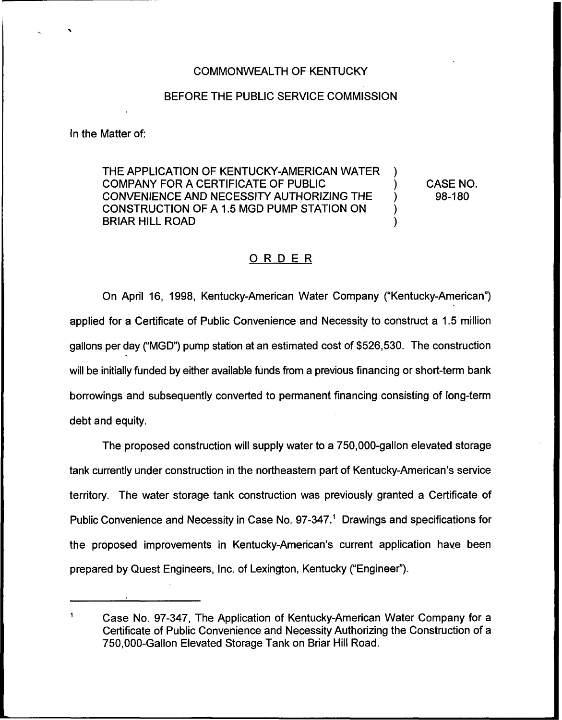## COMMONWEALTH OF KENTUCKY

## BEFORE THE PUBLIC SERVICE COMMISSION

ln the Matter of:

THE APPLICATION OF KENTUCKY-AMERICAN WATER COMPANY FOR A CERTIFICATE OF PUBLIC ) CONVENIENCE AND NECESSITY AUTHORIZING THE CONSTRUCTION OF <sup>A</sup> 1.5 MGD PUMP STATION ON ) BRIAR HILL ROAD )

CASE NO. 98-180

## ORDER

On April 16, 1998, Kentucky-American Water Company ("Kentucky-American") applied for a Certificate of Public Convenience and Necessity to construct a 1.5 million gallons per day ("MGD") pump station at an estimated cost of \$526,530. The construction will be initially funded by either available funds from a previous financing or short-term bank borrowings and subsequently converted to permanent financing consisting of tong-term debt and equity.

The proposed construction will supply water to a 750,000-gallon elevated storage tank currently under construction in the northeastern part of Kentucky-American's service territory. The water storage tank construction was previously granted a Certificate of Public Convenience and Necessity in Case No. 97-347.<sup>1</sup> Drawings and specifications for the proposed improvements in Kentucky-American's current application have been prepared by Quest Engineers, Inc. of Lexington, Kentucky ("Engineer").

 $\mathbf{1}$ Case No. 97-347, The Application of Kentucky-American Water Company for a Certificate of Public Convenience and Necessity Authorizing the Construction of a 750,000-Gallon Elevated Storage Tank on Briar Hill Road.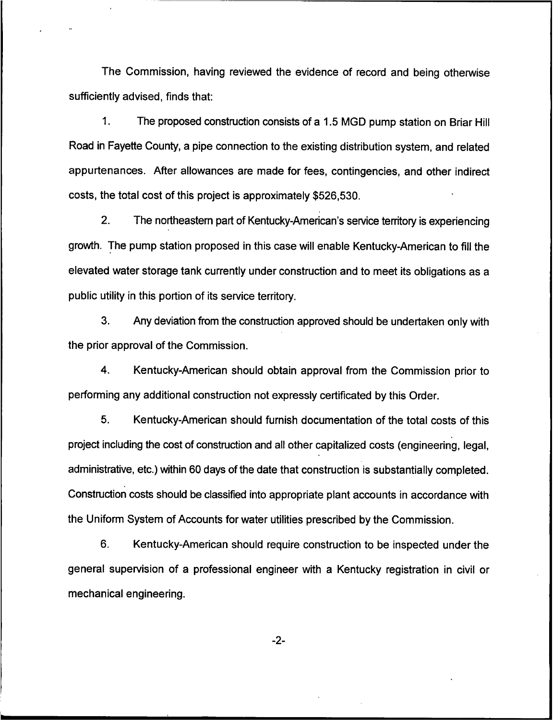The Commission, having reviewed the evidence of record and being otherwise sufficiently advised, finds that:

1. The proposed construction consists of a 1.5 MGD pump station on Briar Hill Road in Fayette County, a pipe connection to the existing distribution system, and related appurtenances. After allowances are made for fees, contingencies, and other indirect costs, the total cost of this project is approximately \$526,530.

2. The northeastern part of Kentucky-American's service territory is experiencing growth. The pump station proposed in this case will enable Kentucky-American to fill the elevated water storage tank currently under construction and to meet its obligations as a public utility in this portion of its service territory.

3. Any deviation from the construction approved should be undertaken only with the prior approval of the Commission.

4. Kentucky-American should obtain approval from the Commission prior to performing any additional construction not expressly certificated by this Order.

5. Kentucky-American should furnish documentation of the total costs of this project including the cost of construction and all other capitalized costs (engineering, legal, administrative, etc.) within 60 days of the date that construction is substantially completed. Construction costs should be classified into appropriate plant accounts in accordance with the Uniform System of Accounts for water utilities prescribed by the Commission.

6. Kentucky-American should require construction to be inspected under the general supervision of a professional engineer with a Kentucky registration in civil or mechanical engineering.

 $-2-$